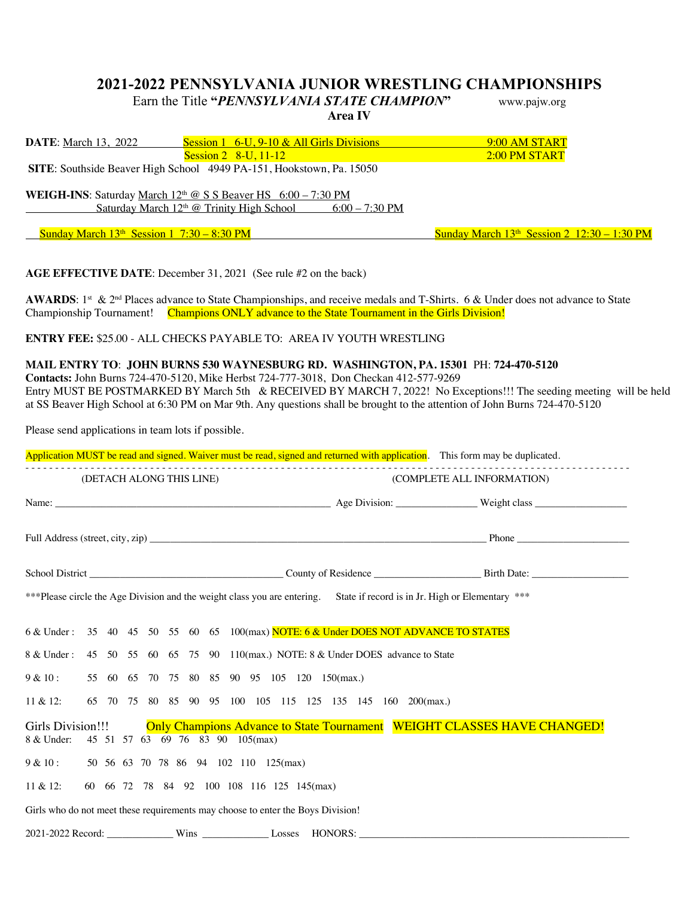## **2021-2022 PENNSYLVANIA JUNIOR WRESTLING CHAMPIONSHIPS**

**Area IV** 

Earn the Title **"***PENNSYLVANIA STATE CHAMPION***"** www.pajw.org

| <b>DATE:</b> March 13, 2022                  | Session $1\quad 6$ -U, $9$ -10 & All Girls Divisions                   | 9:00 AM START                                 |
|----------------------------------------------|------------------------------------------------------------------------|-----------------------------------------------|
|                                              | Session $2 \, 8$ -U, 11-12                                             | 2:00 PM START                                 |
|                                              | SITE: Southside Beaver High School 4949 PA-151, Hookstown, Pa. 15050   |                                               |
|                                              |                                                                        |                                               |
|                                              | <b>WEIGH-INS:</b> Saturday March $12th$ @ S S Beaver HS $6:00-7:30$ PM |                                               |
|                                              | Saturday March $12th$ @ Trinity High School 6:00 – 7:30 PM             |                                               |
|                                              |                                                                        |                                               |
| Sunday March $13th$ Session 1 7:30 – 8:30 PM |                                                                        | Sunday March $13th$ Session 2 $12:30-1:30$ PM |

**AGE EFFECTIVE DATE**: December 31, 2021 (See rule #2 on the back)

**AWARDS**:  $1^{st}$  &  $2^{nd}$  Places advance to State Championships, and receive medals and T-Shirts. 6 & Under does not advance to State Championship Tournament! Champions ONLY advance to the State Tournament in the Girls Division!

**ENTRY FEE:** \$25.00 - ALL CHECKS PAYABLE TO: AREA IV YOUTH WRESTLING

**MAIL ENTRY TO**: **JOHN BURNS 530 WAYNESBURG RD. WASHINGTON, PA. 15301** PH: **724-470-5120 Contacts:** John Burns 724-470-5120, Mike Herbst 724-777-3018, Don Checkan 412-577-9269 Entry MUST BE POSTMARKED BY March 5th & RECEIVED BY MARCH 7, 2022! No Exceptions!!! The seeding meeting will be held at SS Beaver High School at 6:30 PM on Mar 9th. Any questions shall be brought to the attention of John Burns 724-470-5120

Please send applications in team lots if possible.

|  | Application MUST be read and signed. Waiver must be read, signed and returned with application. This form may be duplicated. |  |
|--|------------------------------------------------------------------------------------------------------------------------------|--|
|  |                                                                                                                              |  |

| (DETACH ALONG THIS LINE)                                                                                                                       | (COMPLETE ALL INFORMATION) |  |  |  |  |
|------------------------------------------------------------------------------------------------------------------------------------------------|----------------------------|--|--|--|--|
|                                                                                                                                                |                            |  |  |  |  |
|                                                                                                                                                |                            |  |  |  |  |
|                                                                                                                                                |                            |  |  |  |  |
| ***Please circle the Age Division and the weight class you are entering. State if record is in Jr. High or Elementary ***                      |                            |  |  |  |  |
| 6 & Under: 35 40 45 50 55 60 65 100(max) NOTE: 6 & Under DOES NOT ADVANCE TO STATES                                                            |                            |  |  |  |  |
| 8 & Under: 45 50 55 60 65 75 90 110(max.) NOTE: 8 & Under DOES advance to State                                                                |                            |  |  |  |  |
| 9 & 10:<br>55 60 65 70 75 80 85 90 95 105 120 150(max.)                                                                                        |                            |  |  |  |  |
| 65 70 75 80 85 90 95 100 105 115 125 135 145 160 200(max.)<br>$11 \& 12$ :                                                                     |                            |  |  |  |  |
| Only Champions Advance to State Tournament WEIGHT CLASSES HAVE CHANGED!<br>Girls Division!!!<br>45 51 57 63 69 76 83 90 105(max)<br>8 & Under: |                            |  |  |  |  |
| 9 & 10:<br>50 56 63 70 78 86 94 102 110 125(max)                                                                                               |                            |  |  |  |  |
| 60 66 72 78 84 92 100 108 116 125 145(max)<br>11 & 12:                                                                                         |                            |  |  |  |  |
| Girls who do not meet these requirements may choose to enter the Boys Division!                                                                |                            |  |  |  |  |
|                                                                                                                                                |                            |  |  |  |  |